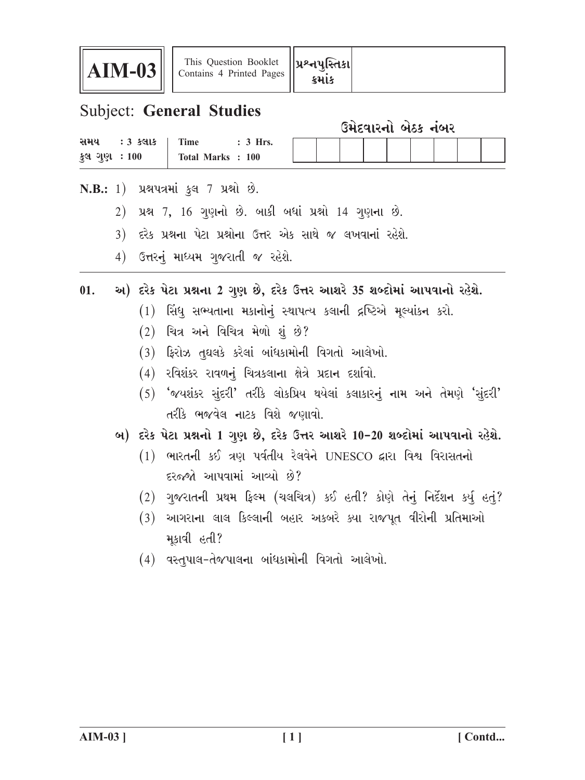

## **Subject: General Studies**

| ઉમેદવારનો બેઠક નંબર |  |  |
|---------------------|--|--|
|                     |  |  |

| સમય                  | $:3$ કલાક | r'ime              | Hrs.       |  |  |  |  |  |
|----------------------|-----------|--------------------|------------|--|--|--|--|--|
| કુલ ગુણ <b>ઃ</b> 100 |           | <b>Total Marks</b> | <b>100</b> |  |  |  |  |  |

- N.B.: 1) પ્રશ્નપત્રમાં કુલ 7 પ્રશ્નો છે.
	- 2) પ્રશ્ન 7, 16 ગુણનો છે. બાકી બધાં પ્રશ્નો 14 ગુણના છે.
	- 3) દરેક પ્રશ્નના પેટા પ્રશ્નોના ઉત્તર એક સાથે જ લખવાનાં રહેશે.
	- 4) ઉત્તરનું માધ્યમ ગુજરાતી જ રહેશે.

## અ) દરેક પેટા પ્રશ્નના 2 ગુણ છે, દરેક ઉત્તર આશરે 35 શબ્દોમાં આપવાનો રહેશે.  $01.$

- (1) સિંધ સભ્યતાના મકાનોનું સ્થાપત્ય કલાની દ્રષ્ટિએ મૂલ્યાંકન કરો.
- $(2)$  ચિત્ર અને વિચિત્ર મેળો શું છે?
- $(3)$  ફિરોઝ તુઘલકે કરેલાં બાંધકામોની વિગતો આલેખો.
- (4) રવિશંકર રાવળનું ચિત્રકલાના ક્ષેત્રે પ્રદાન દર્શાવો.
- $(5)$  'જયશંકર સુંદરી' તરીકે લોકપ્રિય થયેલાં કલાકારનું નામ અને તેમણે 'સુંદરી' તરીકે ભજવેલ નાટક વિશે જણાવો.
- બ) દરેક પેટા પ્રશ્નનો 1 ગુણ છે, દરેક ઉત્તર આશરે 10-20 શબ્દોમાં આપવાનો રહેશે.
	- $(1)$  ભારતની કઈ ત્રણ પર્વતીય રેલવેને UNESCO દ્વારા વિશ્વ વિરાસતનો દરજ્જો આપવામાં આવ્યો છે?
	- (2) ગુજરાતની પ્રથમ ફિલ્મ (ચલચિત્ર) કઈ હતી? કોણે તેનું નિર્દેશન કર્યુ હતું?
	- (3) આગરાના લાલ કિલ્લાની બહાર અકબરે ક્યા રાજપૂત વીરોની પ્રતિમાઓ મકાવી હતી?
	- $(4)$  વસ્તુપાલ-તેજપાલના બાંધકામોની વિગતો આલેખો.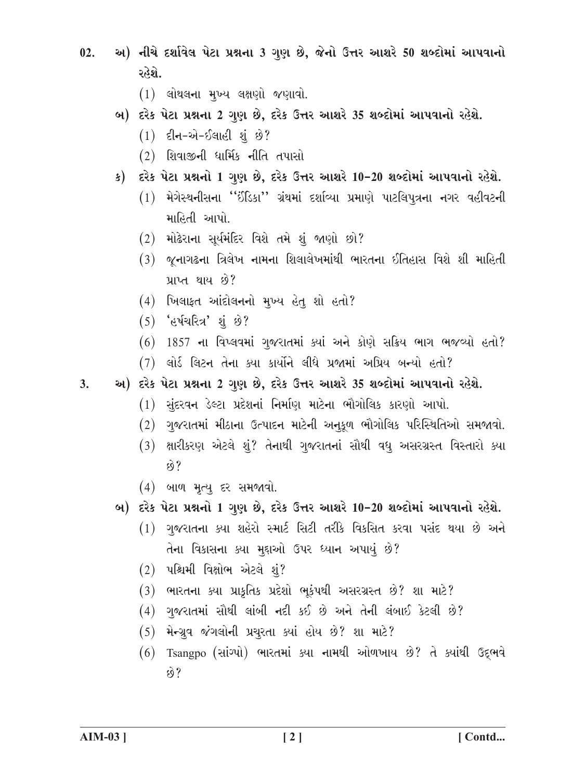- અ) નીચે દર્શાવેલ પેટા પ્રશ્નના 3 ગુણ છે, જેનો ઉત્તર આશરે 50 શબ્દોમાં આપવાનો  $02.$ રહેશે.
	- $(1)$  લોથલના મુખ્ય લક્ષણો જણાવો.
	- બ) દરેક પેટા પ્રશ્નના 2 ગુણ છે, દરેક ઉત્તર આશરે 35 શબ્દોમાં આપવાનો રહેશે.
		- $(1)$  દીન-એ-ઈલાહી શંછે?
		- $(2)$  શિવાજીની ધાર્મિક નીતિ તપાસો
	- ક) દરેક પેટા પ્રશ્નનો 1 ગુણ છે, દરેક ઉત્તર આશરે 10-20 શબ્દોમાં આપવાનો રહેશે.
		- (1) મેગેસ્થનીસના "ઈંડિકા" ગ્રંથમાં દર્શાવ્યા પ્રમાણે પાટલિપૂત્રના નગર વહીવટની માહિતી આપો
		- $(2)$  મોઢેરાના સૂર્યમંદિર વિશે તમે શું જાણો છો?
		- (3) જૂનાગઢના ત્રિલેખ નામના શિલાલેખમાંથી ભારતના ઈતિહાસ વિશે શી માહિતી પ્રાપ્ત થાય છે?
		- $(4)$  ખિલાફત આંદોલનનો મુખ્ય હેતુ શો હતો?
		- $(5)$  'હર્ષચરિત્ર' શું છે?
		- $(6)$  1857 ના વિપ્લવમાં ગુજરાતમાં ક્યાં અને કોણે સક્રિય ભાગ ભજવ્યો હતો?
		- (7) લોર્ડ લિટન તેના ક્યા કાર્યોને લીધે પ્રજામાં અપ્રિય બન્યો હતો?
- અ) દરેક પેટા પ્રશ્નના 2 ગુણ છે, દરેક ઉત્તર આશરે 35 શબ્દોમાં આપવાનો રહેશે.  $3<sub>1</sub>$ 
	- (1) સુંદરવન ડેલ્ટા પ્રદેશનાં નિર્માણ માટેના ભૌગોલિક કારણો આપો.
	- (2) ગુજરાતમાં મીઠાના ઉત્પાદન માટેની અનૂકૂળ ભૌગોલિક પરિસ્થિતિઓ સમજાવો.
	- (3) ક્ષારીકરણ એટલે શું? તેનાથી ગુજરાતનાં સૌથી વધુ અસરગ્રસ્ત વિસ્તારો ક્યા  $\hat{8}$ ?
	- (4) બાળ મૃત્ય દર સમજાવો.
	- બ) દરેક પેટા પ્રશ્નનો 1 ગુણ છે, દરેક ઉત્તર આશરે 10-20 શબ્દોમાં આપવાનો રહેશે.
		- (1) ગુજરાતના કયા શહેરો સ્માર્ટ સિટી તરીકે વિકસિત કરવા પસંદ થયા છે અને તેના વિકાસના ક્યા મુદ્દાઓ ઉપર ધ્યાન અપાયું છે?
		- $(2)$  પશ્ચિમી વિક્ષોભ એટલે શં?
		- (3) ભારતના ક્યા પ્રાકૃતિક પ્રદેશો ભૂકંપથી અસરગ્રસ્ત છે? શા માટે?
		- $(4)$  ગુજરાતમાં સૌથી લાંબી નદી કઈ છે અને તેની લંબાઈ કેટલી છે?
		- (5) મેન્ગ્રુવ જંગલોની પ્રચુરતા ક્યાં હોય છે? શા માટે?
		- (6) Tsangpo (સાંગ્પો) ભારતમાં ક્યા નામથી ઓળખાય છે? તે ક્યાંથી ઉદ્દભવે  $592$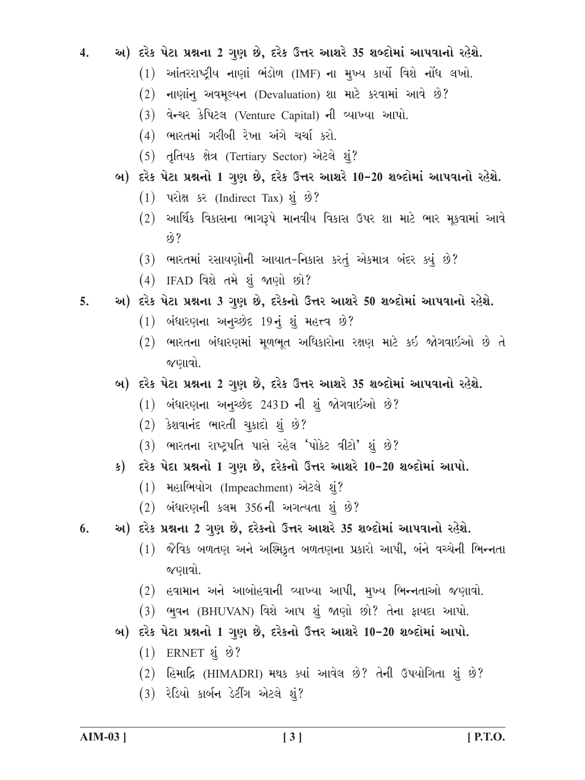અ) દરેક પેટા પ્રશ્નના 2 ગુણ છે, દરેક ઉત્તર આશરે 35 શબ્દોમાં આપવાનો રહેશે.  $\overline{4}$ .

- (1) આંતરરાષ્ટ્રીય નાણાં ભંડોળ (IMF) ના મુખ્ય કાર્યો વિશે નોંધ લખો.
- (2) નાણાંન અવમૂલ્યન (Devaluation) શા માટે કરવામાં આવે છે?
- (3) વેન્ચર કેપિટલ (Venture Capital) ની વ્યાખ્યા આપો.
- (4) ભારતમાં ગરીબી રેખા અંગે ચર્ચા કરો.
- (5) तृतिथक क्षेत्र (Tertiary Sector) એटલे शुं?
- બ) દરેક પેટા પ્રશ્નનો 1 ગુણ છે, દરેક ઉત્તર આશરે 10-20 શબ્દોમાં આપવાનો રહેશે.
	- $(1)$  परोक्ष ५२ (Indirect Tax) शृं छे?
	- $(2)$  આર્થિક વિકાસના ભાગરૂપે માનવીય વિકાસ ઉપર શા માટે ભાર મૂકવામાં આવે  $69?$
	- (3) ભારતમાં રસાયણોની આયાત-નિકાસ કરતું એકમાત્ર બંદર ક્યું છે?
	- (4) IFAD વિશે તમે શું જાણો છો?
- અ) દરેક પેટા પ્રશ્નના 3 ગુણ છે, દરેકનો ઉત્તર આશરે 50 શબ્દોમાં આપવાનો રહેશે. 5.
	- $(1)$  બંધારણના અનચ્છેદ 19નું શું મહત્ત્વ છે?
	- (2) ભારતના બંધારણમાં મળભત અધિકારોના રક્ષણ માટે કઈ જોગવાઈઓ છે તે જણાવો.
	- બ) દરેક પેટા પ્રશ્નના 2 ગુણ છે, દરેક ઉત્તર આશરે 35 શબ્દોમાં આપવાનો રહેશે.
		- $(1)$  બંધારણના અનચ્છેદ 243D ની શું જોગવાઈઓ છે?
		- $(2)$  કેશવાનંદ ભારતી ચૂકાદો શું છે?
		- (3) ભારતના રાષ્ટ્રપતિ પાસે રહેલ 'પોકેટ વીટો' શું છે?
	- ક) દરેક પેદા પ્રશ્નનો 1 ગુણ છે, દરેકનો ઉત્તર આશરે 10-20 શબ્દોમાં આપો.
		- (1) મહાભિયોગ (Impeachment) એટલે શું?
		- $(2)$  બંધારણની કલમ 356ની અગત્યતા શું છે?
- અ) દરેક પ્રશ્નના 2 ગુણ છે, દરેકનો ઉત્તર આશરે 35 શબ્દોમાં આપવાનો રહેશે. 6.
	- $(1)$  જૈવિક બળતણ અને અશ્મિકૃત બળતણના પ્રકારો આપી, બંને વચ્ચેની ભિન્નતા જણાવો.
	- $(2)$  હવામાન અને આબોહવાની વ્યાખ્યા આપી, મુખ્ય ભિન્નતાઓ જણાવો.
	- (3) ભવન (BHUVAN) વિશે આપ શું જાણો છો? તેના ફાયદા આપો.
	- બ) દરેક પેટા પ્રશ્નનો 1 ગુણ છે, દરેકનો ઉત્તર આશરે 10-20 શબ્દોમાં આપો.
		- $(1)$  ERNET  $\dot{a}$   $\dot{\vartheta}$ ?
		- (2) હિમાદ્રિ (HIMADRI) મથક ક્યાં આવેલ છે? તેની ઉપયોગિતા શું છે?
		- $(3)$  રેડિયો કાર્બન ડેટીંગ એટલે શું?